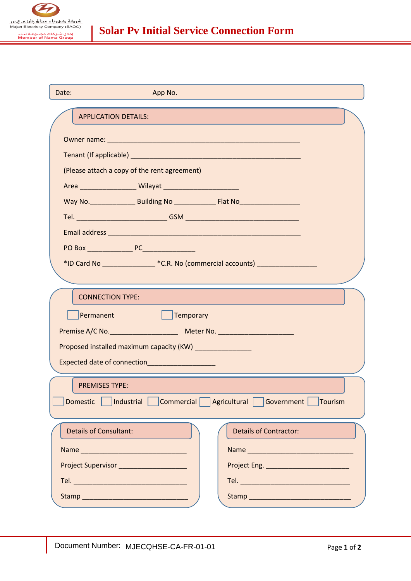

| Date:<br>App No.                                                                 |  |
|----------------------------------------------------------------------------------|--|
| <b>APPLICATION DETAILS:</b>                                                      |  |
|                                                                                  |  |
|                                                                                  |  |
| (Please attach a copy of the rent agreement)                                     |  |
|                                                                                  |  |
|                                                                                  |  |
|                                                                                  |  |
|                                                                                  |  |
|                                                                                  |  |
| *ID Card No ____________________*C.R. No (commercial accounts) _________________ |  |
|                                                                                  |  |
| <b>CONNECTION TYPE:</b>                                                          |  |
| Permanent<br>$\Box$ Temporary                                                    |  |
|                                                                                  |  |
| Proposed installed maximum capacity (KW) _________________                       |  |
| Expected date of connection_____________________                                 |  |
| <b>PREMISES TYPE:</b>                                                            |  |
| Domestic  <br> Industrial   Commercial   Agricultural   Government   Tourism     |  |
|                                                                                  |  |
| <b>Details of Consultant:</b><br><b>Details of Contractor:</b>                   |  |
|                                                                                  |  |
| <b>Project Supervisor Contract Supervisor</b>                                    |  |
|                                                                                  |  |
|                                                                                  |  |